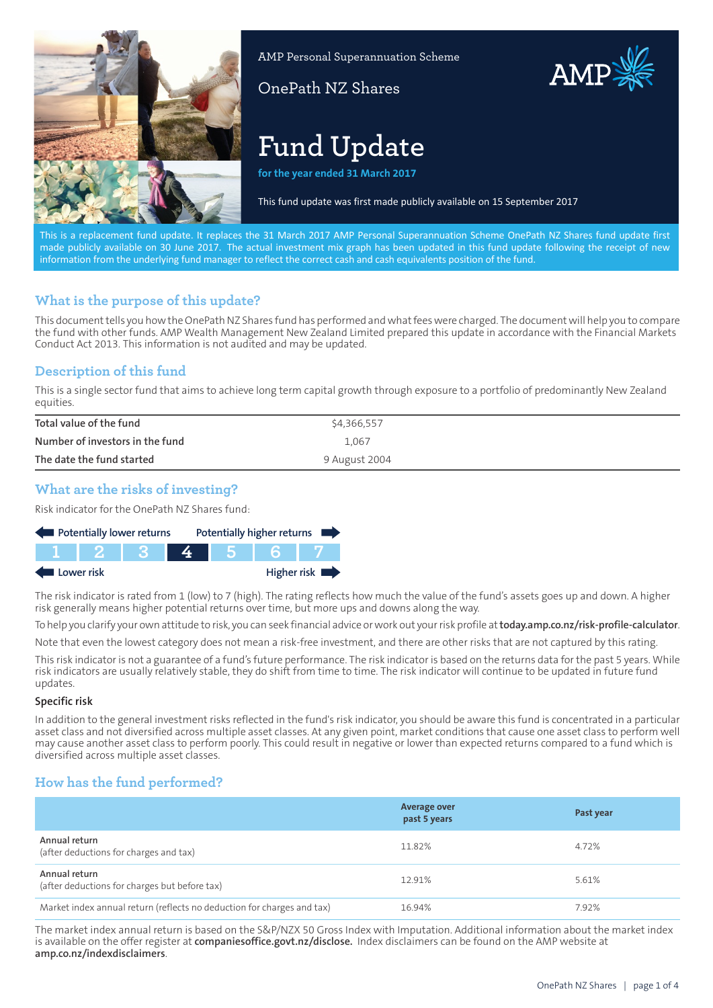

AMP Personal Superannuation Scheme

OnePath NZ Shares

# **Fund Update**

**for the year ended 31 March 2017**

This fund update was first made publicly available on 15 September 2017

AMP

This is a replacement fund update. It replaces the 31 March 2017 AMP Personal Superannuation Scheme OnePath NZ Shares fund update first made publicly available on 30 June 2017. The actual investment mix graph has been updated in this fund update following the receipt of new information from the underlying fund manager to reflect the correct cash and cash equivalents position of the fund.

## **What is the purpose of this update?**

This document tells you how the OnePath NZ Shares fund has performed and what fees were charged. The document will help you to compare the fund with other funds. AMP Wealth Management New Zealand Limited prepared this update in accordance with the Financial Markets Conduct Act 2013. This information is not audited and may be updated.

## **Description of this fund**

This is a single sector fund that aims to achieve long term capital growth through exposure to a portfolio of predominantly New Zealand equities.

| Total value of the fund         | \$4,366,557   |
|---------------------------------|---------------|
| Number of investors in the fund | 1.067         |
| The date the fund started       | 9 August 2004 |

## **What are the risks of investing?**

Risk indicator for the OnePath NZ Shares fund:

| Potentially lower returns |  |  |  |  |  | Potentially higher returns |
|---------------------------|--|--|--|--|--|----------------------------|
|                           |  |  |  |  |  |                            |
| Higher risk<br>Lower risk |  |  |  |  |  |                            |

The risk indicator is rated from 1 (low) to 7 (high). The rating reflects how much the value of the fund's assets goes up and down. A higher risk generally means higher potential returns over time, but more ups and downs along the way.

To help you clarify your own attitude to risk, you can seek financial advice or work out your risk profile at**[today.amp.co.nz/risk-profile-calculator](http://today.amp.co.nz/risk-profile-calculator)**.

Note that even the lowest category does not mean a risk-free investment, and there are other risks that are not captured by this rating.

This risk indicator is not a guarantee of a fund's future performance. The risk indicator is based on the returns data for the past 5 years. While risk indicators are usually relatively stable, they do shift from time to time. The risk indicator will continue to be updated in future fund updates.

### **Specific risk**

In addition to the general investment risks reflected in the fund's risk indicator, you should be aware this fund is concentrated in a particular asset class and not diversified across multiple asset classes. At any given point, market conditions that cause one asset class to perform well may cause another asset class to perform poorly. This could result in negative or lower than expected returns compared to a fund which is diversified across multiple asset classes.

## **How has the fund performed?**

|                                                                        | <b>Average over</b><br>past 5 years | Past year |
|------------------------------------------------------------------------|-------------------------------------|-----------|
| Annual return<br>(after deductions for charges and tax)                | 11.82%                              | 4.72%     |
| Annual return<br>(after deductions for charges but before tax)         | 12.91%                              | 5.61%     |
| Market index annual return (reflects no deduction for charges and tax) | 16.94%                              | 7.92%     |

The market index annual return is based on the S&P/NZX 50 Gross Index with Imputation. Additional information about the market index is available on the offer register at **[companiesoffice.govt.nz/disclose](http://companiesoffice.govt.nz/disclose).** Index disclaimers can be found on the AMP website at **[amp.co.nz/indexdisclaimers](http://amp.co.nz/indexdisclaimers)**.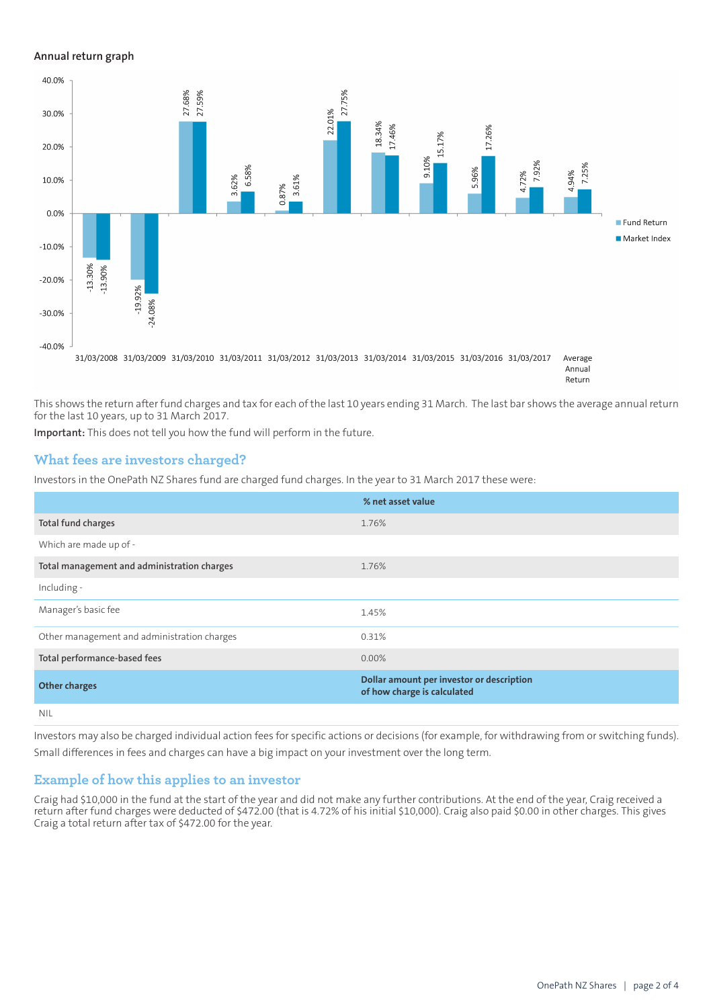#### **Annual return graph**



This shows the return after fund charges and tax for each of the last 10 years ending 31 March. The last bar shows the average annual return for the last 10 years, up to 31 March 2017.

**Important:** This does not tell you how the fund will perform in the future.

## **What fees are investors charged?**

Investors in the OnePath NZ Shares fund are charged fund charges. In the year to 31 March 2017 these were:

|                                             | % net asset value                                                        |
|---------------------------------------------|--------------------------------------------------------------------------|
| Total fund charges                          | 1.76%                                                                    |
| Which are made up of -                      |                                                                          |
| Total management and administration charges | 1.76%                                                                    |
| Including -                                 |                                                                          |
| Manager's basic fee                         | 1.45%                                                                    |
| Other management and administration charges | 0.31%                                                                    |
| Total performance-based fees                | $0.00\%$                                                                 |
| <b>Other charges</b>                        | Dollar amount per investor or description<br>of how charge is calculated |
| <b>NIL</b>                                  |                                                                          |

Investors may also be charged individual action fees for specific actions or decisions (for example, for withdrawing from or switching funds). Small differences in fees and charges can have a big impact on your investment over the long term.

### **Example of how this applies to an investor**

Craig had \$10,000 in the fund at the start of the year and did not make any further contributions. At the end of the year, Craig received a return after fund charges were deducted of \$472.00 (that is 4.72% of his initial \$10,000). Craig also paid \$0.00 in other charges. This gives Craig a total return after tax of \$472.00 for the year.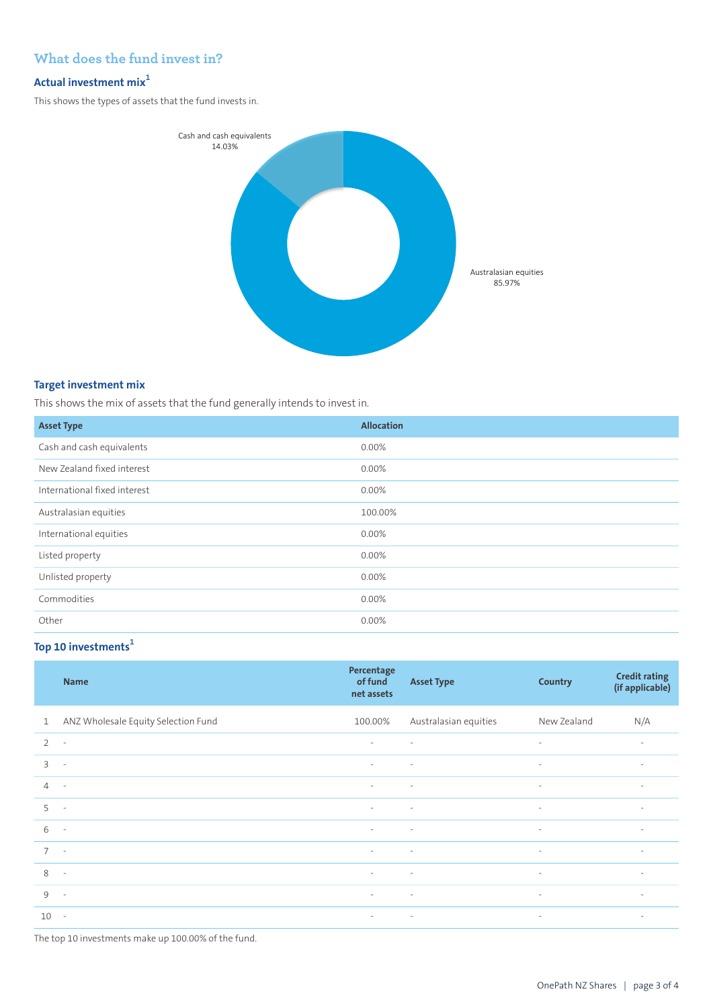## **What does the fund invest in?**

## **Actual investment mix<sup>1</sup>**

This shows the types of assets that the fund invests in.



#### **Target investment mix**

This shows the mix of assets that the fund generally intends to invest in.

| <b>Asset Type</b>            | <b>Allocation</b> |
|------------------------------|-------------------|
| Cash and cash equivalents    | 0.00%             |
| New Zealand fixed interest   | $0.00\%$          |
| International fixed interest | 0.00%             |
| Australasian equities        | 100.00%           |
| International equities       | 0.00%             |
| Listed property              | 0.00%             |
| Unlisted property            | 0.00%             |
| Commodities                  | 0.00%             |
| Other                        | 0.00%             |

## **Top 10 investments<sup>1</sup>**

|                | <b>Name</b>                         | Percentage<br>of fund<br>net assets | <b>Asset Type</b>     | <b>Country</b> | <b>Credit rating</b><br>(if applicable) |
|----------------|-------------------------------------|-------------------------------------|-----------------------|----------------|-----------------------------------------|
| $\mathbf{1}$   | ANZ Wholesale Equity Selection Fund | 100.00%                             | Australasian equities | New Zealand    | N/A                                     |
| $\overline{2}$ | $\overline{\phantom{a}}$            | $\sim$                              | $\sim$                | $\sim$         | $\overline{\phantom{a}}$                |
| 3              | $\sim$                              | $\sim$                              | $\sim$                | $\sim$         | $\overline{\phantom{a}}$                |
| $\overline{4}$ | $\sim$                              | $\sim$                              | $\sim$                | $\sim$         | $\sim$                                  |
| 5              | $\sim$                              | $\overline{\phantom{a}}$            | $\sim$                | $\sim$         | $\overline{\phantom{a}}$                |
| 6              | $\sim$                              | $\sim$                              | $\sim$                | $\sim$         | $\sim$                                  |
| $7^{\circ}$    | $\sim$                              | $\sim$                              | $\sim$                | $\sim$         | $\sim$                                  |
| 8              | $\sim$                              | $\sim$                              | $\sim$                | $\sim$         | $\overline{\phantom{a}}$                |
| $\mathcal{Q}$  | $\sim$                              | $\sim$                              | $\sim$                | $\sim$         | $\sim$                                  |
| 10             | $\sim$                              | $\sim$                              | $\sim$                | $\sim$         | $\sim$                                  |

The top 10 investments make up 100.00% of the fund.